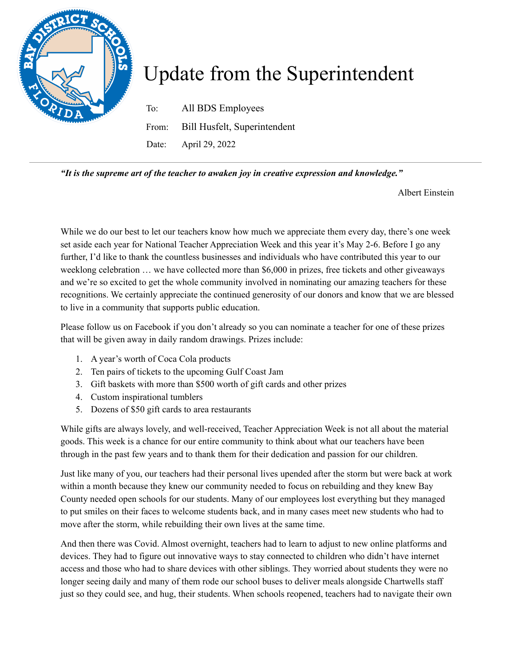

## Update from the Superintendent

To: All BDS Employees From: Bill Husfelt, Superintendent Date: April 29, 2022

*"It is the supreme art of the teacher to awaken joy in creative expression and knowledge."*

Albert Einstein

While we do our best to let our teachers know how much we appreciate them every day, there's one week set aside each year for National Teacher Appreciation Week and this year it's May 2-6. Before I go any further, I'd like to thank the countless businesses and individuals who have contributed this year to our weeklong celebration … we have collected more than \$6,000 in prizes, free tickets and other giveaways and we're so excited to get the whole community involved in nominating our amazing teachers for these recognitions. We certainly appreciate the continued generosity of our donors and know that we are blessed to live in a community that supports public education.

Please follow us on Facebook if you don't already so you can nominate a teacher for one of these prizes that will be given away in daily random drawings. Prizes include:

- 1. A year's worth of Coca Cola products
- 2. Ten pairs of tickets to the upcoming Gulf Coast Jam
- 3. Gift baskets with more than \$500 worth of gift cards and other prizes
- 4. Custom inspirational tumblers
- 5. Dozens of \$50 gift cards to area restaurants

While gifts are always lovely, and well-received, Teacher Appreciation Week is not all about the material goods. This week is a chance for our entire community to think about what our teachers have been through in the past few years and to thank them for their dedication and passion for our children.

Just like many of you, our teachers had their personal lives upended after the storm but were back at work within a month because they knew our community needed to focus on rebuilding and they knew Bay County needed open schools for our students. Many of our employees lost everything but they managed to put smiles on their faces to welcome students back, and in many cases meet new students who had to move after the storm, while rebuilding their own lives at the same time.

And then there was Covid. Almost overnight, teachers had to learn to adjust to new online platforms and devices. They had to figure out innovative ways to stay connected to children who didn't have internet access and those who had to share devices with other siblings. They worried about students they were no longer seeing daily and many of them rode our school buses to deliver meals alongside Chartwells staff just so they could see, and hug, their students. When schools reopened, teachers had to navigate their own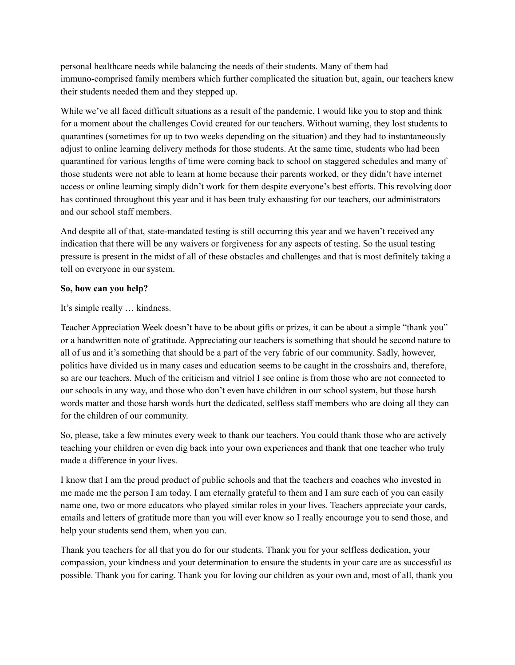personal healthcare needs while balancing the needs of their students. Many of them had immuno-comprised family members which further complicated the situation but, again, our teachers knew their students needed them and they stepped up.

While we've all faced difficult situations as a result of the pandemic, I would like you to stop and think for a moment about the challenges Covid created for our teachers. Without warning, they lost students to quarantines (sometimes for up to two weeks depending on the situation) and they had to instantaneously adjust to online learning delivery methods for those students. At the same time, students who had been quarantined for various lengths of time were coming back to school on staggered schedules and many of those students were not able to learn at home because their parents worked, or they didn't have internet access or online learning simply didn't work for them despite everyone's best efforts. This revolving door has continued throughout this year and it has been truly exhausting for our teachers, our administrators and our school staff members.

And despite all of that, state-mandated testing is still occurring this year and we haven't received any indication that there will be any waivers or forgiveness for any aspects of testing. So the usual testing pressure is present in the midst of all of these obstacles and challenges and that is most definitely taking a toll on everyone in our system.

## **So, how can you help?**

It's simple really … kindness.

Teacher Appreciation Week doesn't have to be about gifts or prizes, it can be about a simple "thank you" or a handwritten note of gratitude. Appreciating our teachers is something that should be second nature to all of us and it's something that should be a part of the very fabric of our community. Sadly, however, politics have divided us in many cases and education seems to be caught in the crosshairs and, therefore, so are our teachers. Much of the criticism and vitriol I see online is from those who are not connected to our schools in any way, and those who don't even have children in our school system, but those harsh words matter and those harsh words hurt the dedicated, selfless staff members who are doing all they can for the children of our community.

So, please, take a few minutes every week to thank our teachers. You could thank those who are actively teaching your children or even dig back into your own experiences and thank that one teacher who truly made a difference in your lives.

I know that I am the proud product of public schools and that the teachers and coaches who invested in me made me the person I am today. I am eternally grateful to them and I am sure each of you can easily name one, two or more educators who played similar roles in your lives. Teachers appreciate your cards, emails and letters of gratitude more than you will ever know so I really encourage you to send those, and help your students send them, when you can.

Thank you teachers for all that you do for our students. Thank you for your selfless dedication, your compassion, your kindness and your determination to ensure the students in your care are as successful as possible. Thank you for caring. Thank you for loving our children as your own and, most of all, thank you